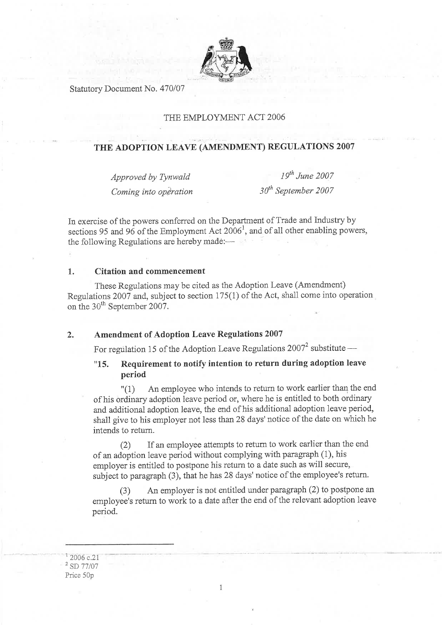

Statutory Document No. 470/07

### THE EMPLOYMENT ACT 2006

# THE ADOPTION LEAVE (AMENDMENT) REGULATIONS 2007

Approved by Tynwald Coming into operation

 $19^{th}$  June 2007  $30<sup>th</sup>$  September 2007

In exercise of the powers conferred on the Department of Trade and Industry by sections 95 and 96 of the Employment Act  $2006<sup>1</sup>$ , and of all other enabling powers, the following Regulations are hereby made:—

### 1. Citation and commencement

These Regulations maybe cited as the Adoption Leave (Amendment) Regulations 2007 and, subject to section  $175(1)$  of the Act, shall come into operation on the 30<sup>th</sup> September 2007.

## ) Amendment of Adoption Leave Regulations200T

For regulation 15 of the Adoption Leave Regulations 2007<sup>2</sup> substitute -

## "L5. Requirement to notify intention to return during adoption leave period

"(1) An employee who intends to return to work earlier than the end of his ordinary adoption ieave period or, where he is entitled to both ordinary and additional adoption leave, the end of his additional adoption leave period, shall give to his employer not less than28 days' notice of the date on which he intends to return.

(2) If an employee attempts to return to work earlier than the end of an adoption leave period without complying with paragraph  $(1)$ , his employer is entitled to postpone his return to a date such as will secure, subject to paragraph (3), that he has 28 days' notice of the employee's return.

(3) An employer is not entitled under paragraph Q) to posþone an employee's return to work to a date after the end of the relevant adoption leave period.

 $1\overline{2006}$  c.21  $2$  SD 77/07 Price 50p

1